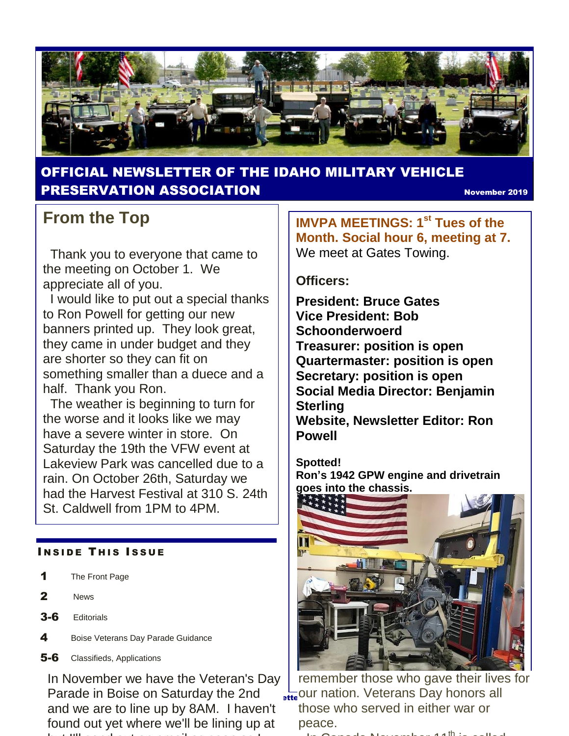

## OFFICIAL NEWSLETTER OF THE IDAHO MILITARY VEHICLE **PRESERVATION ASSOCIATION** November 2019

## **From the Top**

 Thank you to everyone that came to the meeting on October 1. We appreciate all of you.

 I would like to put out a special thanks to Ron Powell for getting our new banners printed up. They look great, they came in under budget and they are shorter so they can fit on something smaller than a duece and a half. Thank you Ron.

 The weather is beginning to turn for the worse and it looks like we may have a severe winter in store. On Saturday the 19th the VFW event at Lakeview Park was cancelled due to a rain. On October 26th, Saturday we had the Harvest Festival at 310 S. 24th St. Caldwell from 1PM to 4PM.

#### **INSIDE THIS ISSUE**

- 1 The Front Page
- 2 News
- 3-6 Editorials
- 4 Boise Veterans Day Parade Guidance
- **5-6** Classifieds, Applications

In November we have the Veteran's Day Parade in Boise on Saturday the 2nd and we are to line up by 8AM. I haven't found out yet where we'll be lining up at but I'll send out an email as soon as I'll send out an email as I'll send out an email as I'll send out as I'll

**IMVPA MEETINGS: 1st Tues of the Month. Social hour 6, meeting at 7.**  We meet at Gates Towing.

#### **Officers:**

**President: Bruce Gates Vice President: Bob Schoonderwoerd Treasurer: position is open Quartermaster: position is open Secretary: position is open Social Media Director: Benjamin Sterling Website, Newsletter Editor: Ron Powell**

**Spotted! Ron's 1942 GPW engine and drivetrain goes into the chassis.**



**I** steed our nation. Veterans Day honors all remember those who gave their lives for those who served in either war or peace.

-In Canada November 11th is called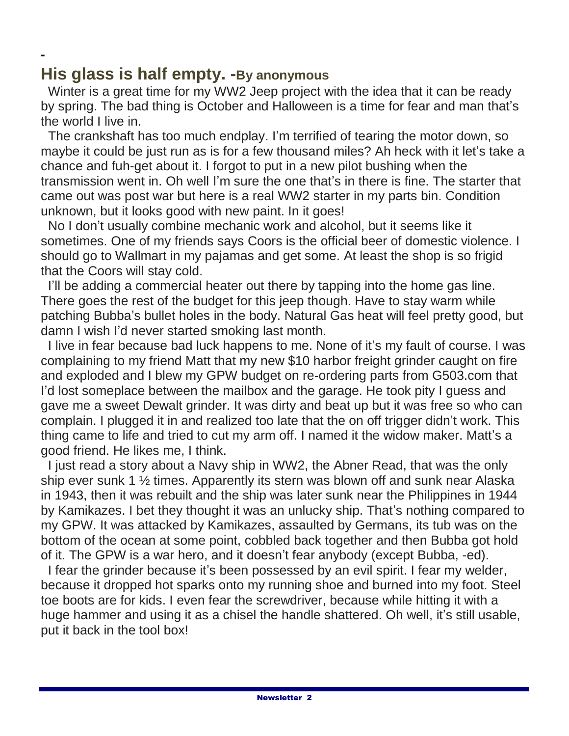## **His glass is half empty. -By anonymous**

**-**

Winter is a great time for my WW2 Jeep project with the idea that it can be ready by spring. The bad thing is October and Halloween is a time for fear and man that's the world I live in.

 The crankshaft has too much endplay. I'm terrified of tearing the motor down, so maybe it could be just run as is for a few thousand miles? Ah heck with it let's take a chance and fuh-get about it. I forgot to put in a new pilot bushing when the transmission went in. Oh well I'm sure the one that's in there is fine. The starter that came out was post war but here is a real WW2 starter in my parts bin. Condition unknown, but it looks good with new paint. In it goes!

 No I don't usually combine mechanic work and alcohol, but it seems like it sometimes. One of my friends says Coors is the official beer of domestic violence. I should go to Wallmart in my pajamas and get some. At least the shop is so frigid that the Coors will stay cold.

I'll be adding a commercial heater out there by tapping into the home gas line. There goes the rest of the budget for this jeep though. Have to stay warm while patching Bubba's bullet holes in the body. Natural Gas heat will feel pretty good, but damn I wish I'd never started smoking last month.

 I live in fear because bad luck happens to me. None of it's my fault of course. I was complaining to my friend Matt that my new \$10 harbor freight grinder caught on fire and exploded and I blew my GPW budget on re-ordering parts from G503.com that I'd lost someplace between the mailbox and the garage. He took pity I guess and gave me a sweet Dewalt grinder. It was dirty and beat up but it was free so who can complain. I plugged it in and realized too late that the on off trigger didn't work. This thing came to life and tried to cut my arm off. I named it the widow maker. Matt's a good friend. He likes me, I think.

 I just read a story about a Navy ship in WW2, the Abner Read, that was the only ship ever sunk 1 ½ times. Apparently its stern was blown off and sunk near Alaska in 1943, then it was rebuilt and the ship was later sunk near the Philippines in 1944 by Kamikazes. I bet they thought it was an unlucky ship. That's nothing compared to my GPW. It was attacked by Kamikazes, assaulted by Germans, its tub was on the bottom of the ocean at some point, cobbled back together and then Bubba got hold of it. The GPW is a war hero, and it doesn't fear anybody (except Bubba, -ed).

 I fear the grinder because it's been possessed by an evil spirit. I fear my welder, because it dropped hot sparks onto my running shoe and burned into my foot. Steel toe boots are for kids. I even fear the screwdriver, because while hitting it with a huge hammer and using it as a chisel the handle shattered. Oh well, it's still usable, put it back in the tool box!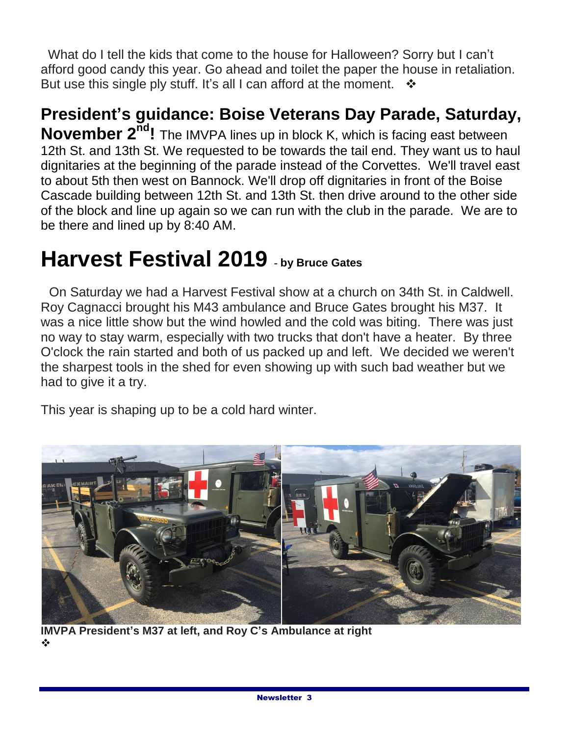What do I tell the kids that come to the house for Halloween? Sorry but I can't afford good candy this year. Go ahead and toilet the paper the house in retaliation. But use this single ply stuff. It's all I can afford at the moment.  $\cdot \cdot$ 

**President's guidance: Boise Veterans Day Parade, Saturday, November 2nd!** The IMVPA lines up in block K, which is facing east between 12th St. and 13th St. We requested to be towards the tail end. They want us to haul dignitaries at the beginning of the parade instead of the Corvettes. We'll travel east to about 5th then west on Bannock. We'll drop off dignitaries in front of the Boise Cascade building between 12th St. and 13th St. then drive around to the other side of the block and line up again so we can run with the club in the parade. We are to be there and lined up by 8:40 AM.

# **Harvest Festival 2019 - by Bruce Gates**

 On Saturday we had a Harvest Festival show at a church on 34th St. in Caldwell. Roy Cagnacci brought his M43 ambulance and Bruce Gates brought his M37. It was a nice little show but the wind howled and the cold was biting. There was just no way to stay warm, especially with two trucks that don't have a heater. By three O'clock the rain started and both of us packed up and left. We decided we weren't the sharpest tools in the shed for even showing up with such bad weather but we had to give it a try.

This year is shaping up to be a cold hard winter.



**IMVPA President's M37 at left, and Roy C's Ambulance at right** ❖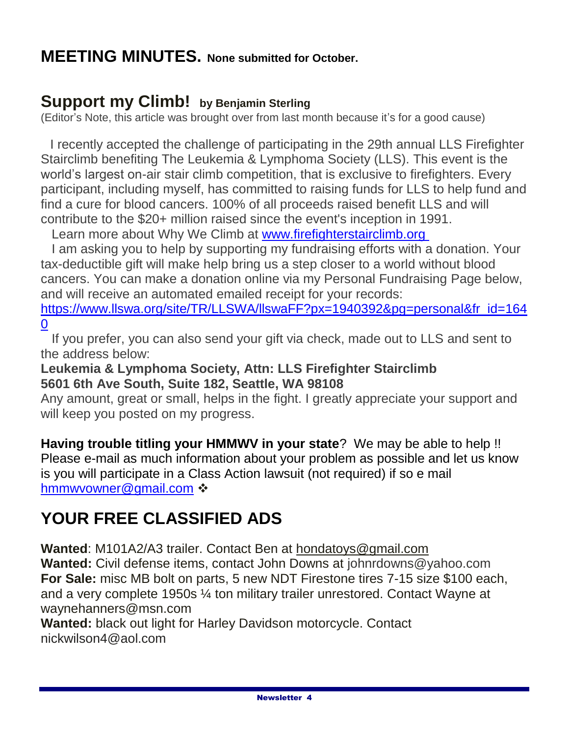## **MEETING MINUTES. None submitted for October.**

## **Support my Climb! by Benjamin Sterling**

(Editor's Note, this article was brought over from last month because it's for a good cause)

 I recently accepted the challenge of participating in the 29th annual LLS Firefighter Stairclimb benefiting The Leukemia & Lymphoma Society (LLS). This event is the world's largest on-air stair climb competition, that is exclusive to firefighters. Every participant, including myself, has committed to raising funds for LLS to help fund and find a cure for blood cancers. 100% of all proceeds raised benefit LLS and will contribute to the \$20+ million raised since the event's inception in 1991.

Learn more about Why We Climb at [www.firefighterstairclimb.org](http://www.firefighterstairclimb.org/)

 I am asking you to help by supporting my fundraising efforts with a donation. Your tax-deductible gift will make help bring us a step closer to a world without blood cancers. You can make a donation online via my Personal Fundraising Page below, and will receive an automated emailed receipt for your records:

[https://www.llswa.org/site/TR/LLSWA/llswaFF?px=1940392&pg=personal&fr\\_id=164](https://www.llswa.org/site/TR/LLSWA/llswaFF?px=1940392&pg=personal&fr_id=1640) [0](https://www.llswa.org/site/TR/LLSWA/llswaFF?px=1940392&pg=personal&fr_id=1640)

 If you prefer, you can also send your gift via check, made out to LLS and sent to the address below:

#### **Leukemia & Lymphoma Society, Attn: LLS Firefighter Stairclimb 5601 6th Ave South, Suite 182, Seattle, WA 98108**

Any amount, great or small, helps in the fight. I greatly appreciate your support and will keep you posted on my progress.

**Having trouble titling your HMMWV in your state**? We may be able to help !! Please e-mail as much information about your problem as possible and let us know is you will participate in a Class Action lawsuit (not required) if so e mail [hmmwvowner@gmail.com](mailto:hmmwvowner@gmail.com) ❖

## **YOUR FREE CLASSIFIED ADS**

**Wanted**: M101A2/A3 trailer. Contact Ben at hondatoys@gmail.com **Wanted:** Civil defense items, contact John Downs at johnrdowns@yahoo.com **For Sale:** misc MB bolt on parts, 5 new NDT Firestone tires 7-15 size \$100 each, and a very complete 1950s ¼ ton military trailer unrestored. Contact Wayne at waynehanners@msn.com

**Wanted:** black out light for Harley Davidson motorcycle. Contact nickwilson4@aol.com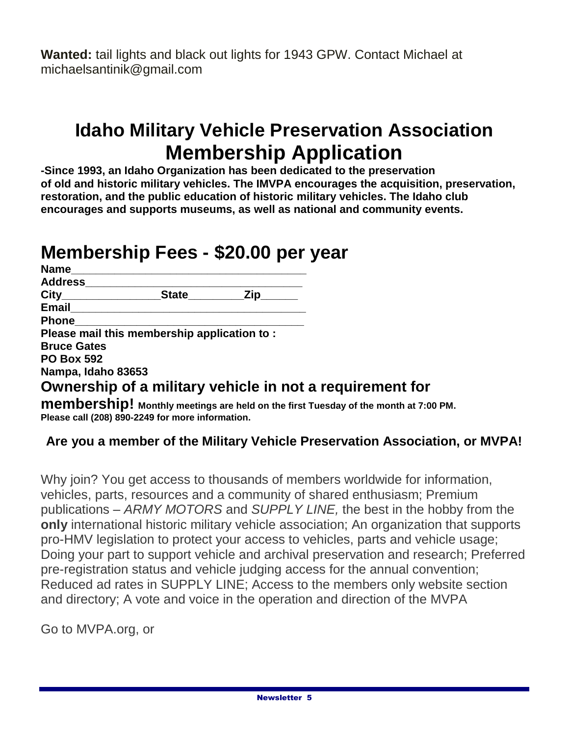**Wanted:** tail lights and black out lights for 1943 GPW. Contact Michael at michaelsantinik@gmail.com

# **Idaho Military Vehicle Preservation Association Membership Application**

**-Since 1993, an Idaho Organization has been dedicated to the preservation of old and historic military vehicles. The IMVPA encourages the acquisition, preservation, restoration, and the public education of historic military vehicles. The Idaho club encourages and supports museums, as well as national and community events.**

# **Membership Fees - \$20.00 per year**

| Name               |                                                          |                       |  |
|--------------------|----------------------------------------------------------|-----------------------|--|
| Address            |                                                          |                       |  |
| City_____________  | <b>State</b> State                                       | $\mathsf{Zip}_{\_\_}$ |  |
| <b>Email</b>       |                                                          |                       |  |
| <b>Phone</b>       |                                                          |                       |  |
|                    | Please mail this membership application to:              |                       |  |
| <b>Bruce Gates</b> |                                                          |                       |  |
| <b>PO Box 592</b>  |                                                          |                       |  |
| Nampa, Idaho 83653 |                                                          |                       |  |
|                    | Ownership of a military vehicle in not a requirement for |                       |  |
|                    |                                                          |                       |  |

**membership! Monthly meetings are held on the first Tuesday of the month at 7:00 PM. Please call (208) 890-2249 for more information.**

## **Are you a member of the Military Vehicle Preservation Association, or MVPA!**

Why join? You get access to thousands of members worldwide for information, vehicles, parts, resources and a community of shared enthusiasm; Premium publications – *ARMY MOTORS* and *SUPPLY LINE,* the best in the hobby from the **only** international historic military vehicle association; An organization that supports pro-HMV legislation to protect your access to vehicles, parts and vehicle usage; Doing your part to support vehicle and archival preservation and research; Preferred pre-registration status and vehicle judging access for the annual convention; Reduced ad rates in SUPPLY LINE; Access to the members only website section and directory; A vote and voice in the operation and direction of the MVPA

Go to MVPA.org, or